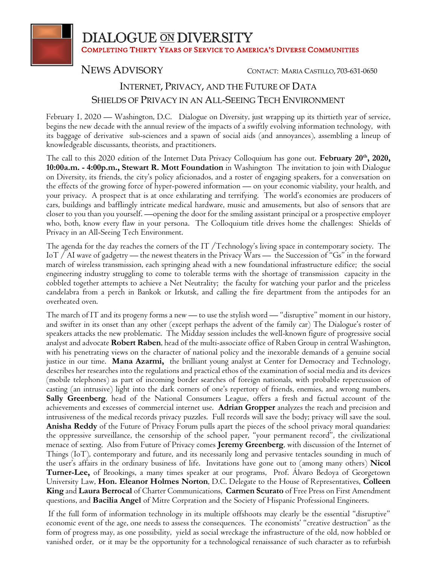

**DIALOGUE ON DIVERSITY** COMPLETING THIRTY YEARS OF SERVICE TO AMERICA'S DIVERSE COMMUNITIES

NEWS ADVISORY CONTACT: <sup>M</sup>ARIA <sup>C</sup>ASTILLO, 703-631-0650

## INTERNET, PRIVACY, AND THE FUTURE OF DATA SHIELDS OF PRIVACY IN AN ALL-SEEING TECH ENVIRONMENT

February 1, 2020 — Washington, D.C. Dialogue on Diversity, just wrapping up its thirtieth year of service, begins the new decade with the annual review of the impacts of a swiftly evolving information technology, with its baggage of derivative sub-sciences and a spawn of social aids (and annoyances), assembling a lineup of knowledgeable discussants, theorists, and practitioners.

The call to this 2020 edition of the Internet Data Privacy Colloquium has gone out. **February 20th, 2020, 10:00a.m. - 4:00p.m., Stewart R. Mott Foundation** in Washington The invitation to join with Dialogue on Diversity, its friends, the city's policy aficionados, and a roster of engaging speakers, for a conversation on the effects of the growing force of hyper-powered information — on your economic viability, your health, and your privacy. A prospect that is at once exhilarating and terrifying. The world's economies are producers of cars, buildings and bafflingly intricate medical hardware, music and amusements, but also of sensors that are closer to you than you yourself. —opening the door for the smiling assistant principal or a prospective employer who, both, know every flaw in your persona. The Colloquium title drives home the challenges: Shields of Privacy in an All-Seeing Tech Environment.

The agenda for the day reaches the corners of the IT /Technology's living space in contemporary society. The IoT / AI wave of gadgetry — the newest theaters in the Privacy Wars — the Succession of "Gs" in the forward march of wireless transmission, each springing ahead with a new foundational infrastructure edifice; the social engineering industry struggling to come to tolerable terms with the shortage of transmission capacity in the cobbled together attempts to achieve a Net Neutrality; the faculty for watching your parlor and the priceless candelabra from a perch in Bankok or Irkutsk, and calling the fire department from the antipodes for an overheated oven.

The march of IT and its progeny forms a new — to use the stylish word — "disruptive" moment in our history, and swifter in its onset than any other (except perhaps the advent of the family car) The Dialogue's roster of speakers attacks the new problematic. The Midday session includes the well-known figure of progressive social analyst and advocate **Robert Raben**, head of the multi-associate office of Raben Group in central Washington, with his penetrating views on the character of national policy and the inexorable demands of a genuine social justice in our time. **Mana Azarmi,** the brilliant young analyst at Center for Democracy and Technology, describes her researches into the regulations and practical ethos of the examination of social media and its devices (mobile telephones) as part of incoming border searches of foreign nationals, with probable repercussion of casting (an intrusive) light into the dark corners of one's repertory of friends, enemies, and wrong numbers. **Sally Greenberg**, head of the National Consumers League, offers a fresh and factual account of the achievements and excesses of commercial internet use. **Adrian Gropper** analyzes the reach and precision and intrusiveness of the medical records privacy puzzles. Full records will save the body; privacy will save the soul. **Anisha Reddy** of the Future of Privacy Forum pulls apart the pieces of the school privacy moral quandaries: the oppressive surveillance, the censorship of the school paper, "your permanent record", the civilizational menace of sexting. Also from Future of Privacy comes **Jeremy Greenberg**, with discussion of the Internet of Things (IoT), contemporary and future, and its necessarily long and pervasive tentacles sounding in much of the user's affairs in the ordinary business of life. Invitations have gone out to (among many others) **Nicol Turner-Lee,** of Brookings, a many times speaker at our programs, Prof. Álvaro Bedoya of Georgetown University Law, **Hon. Eleanor Holmes Norton**, D.C. Delegate to the House of Representatives, **Colleen King** and **Laura Berrocal** of Charter Communications, **Carmen Scurato** of Free Press on First Amendment questions, and **Bacilia Angel** of Mitre Corpration and the Society of Hispanic Professional Engineers.

If the full form of information technology in its multiple offshoots may clearly be the essential "disruptive" economic event of the age, one needs to assess the consequences. The economists' "creative destruction" as the form of progress may, as one possibility, yield as social wreckage the infrastructure of the old, now hobbled or vanished order, or it may be the opportunity for a technological renaissance of such character as to refurbish